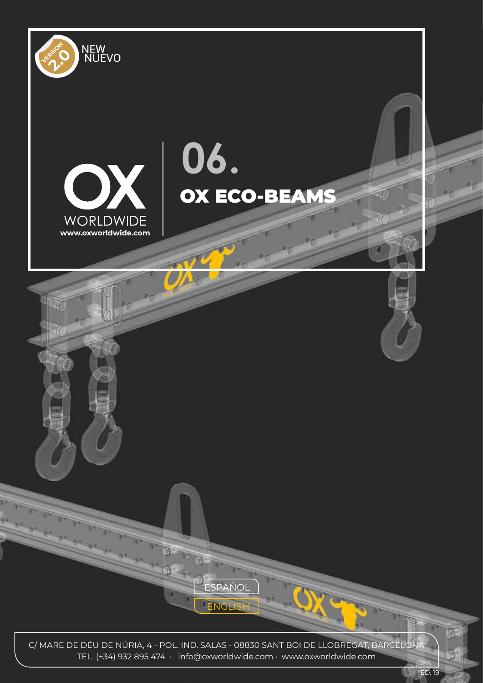

TEL. (+34) 932 895 474 · info@oxworldwide.com · www.oxworldwide.com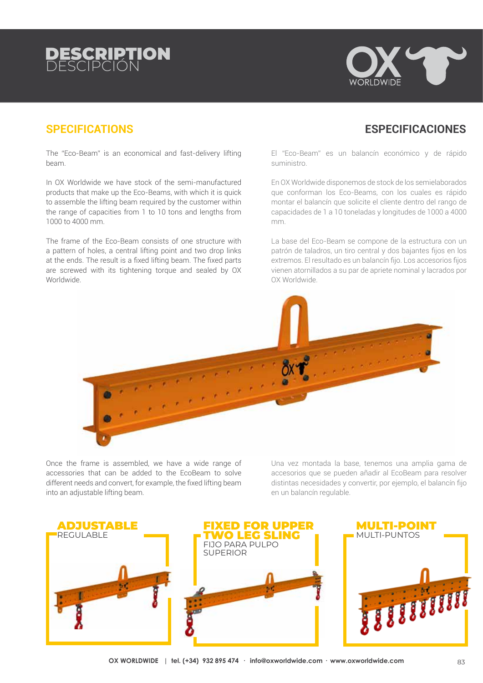# DE**SCRIPT**



### **SPECIFICATIONS ESPECIFICACIONES**

#### The "Eco-Beam" is an economical and fast-delivery lifting beam.

In OX Worldwide we have stock of the semi-manufactured products that make up the Eco-Beams, with which it is quick to assemble the lifting beam required by the customer within the range of capacities from 1 to 10 tons and lengths from 1000 to 4000 mm.

The frame of the Eco-Beam consists of one structure with a pattern of holes, a central lifting point and two drop links at the ends. The result is a fixed lifting beam. The fixed parts are screwed with its tightening torque and sealed by OX Worldwide.

El "Eco-Beam" es un balancín económico y de rápido suministro.

En OX Worldwide disponemos de stock de los semielaborados que conforman los Eco-Beams, con los cuales es rápido montar el balancín que solicite el cliente dentro del rango de capacidades de 1 a 10 toneladas y longitudes de 1000 a 4000 mm.

La base del Eco-Beam se compone de la estructura con un patrón de taladros, un tiro central y dos bajantes fijos en los extremos. El resultado es un balancín fijo. Los accesorios fijos vienen atornillados a su par de apriete nominal y lacrados por OX Worldwide.



Once the frame is assembled, we have a wide range of accessories that can be added to the EcoBeam to solve different needs and convert, for example, the fixed lifting beam into an adjustable lifting beam.

Una vez montada la base, tenemos una amplia gama de accesorios que se pueden añadir al EcoBeam para resolver distintas necesidades y convertir, por ejemplo, el balancín fijo en un balancín regulable.

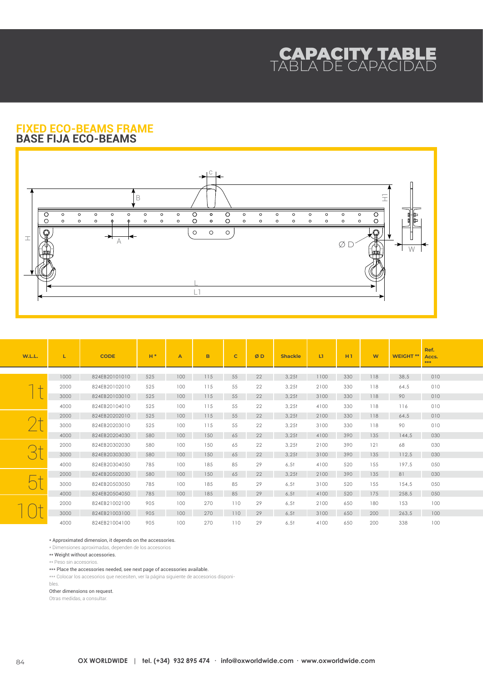## CAPACITY TABLE TABLA DE CAPACIDAD

#### **FIXED ECO-BEAMS FRAME BASE FIJA ECO-BEAMS**



| W.L.L. | L    | <b>CODE</b>   | $H*$ | A   | B   | $\mathbf C$ | ØD | <b>Shackle</b>    | L1   | H1  | <b>W</b> | <b>WEIGHT**</b> | Ref.<br>Accs.<br>*** |
|--------|------|---------------|------|-----|-----|-------------|----|-------------------|------|-----|----------|-----------------|----------------------|
|        | 1000 | 824EB20101010 | 525  | 100 | 115 | 55          | 22 | 3,251             | 1100 | 330 | 118      | 38,5            | 010                  |
|        |      |               |      |     |     |             |    |                   |      |     |          |                 |                      |
|        | 2000 | 824EB20102010 | 525  | 100 | 115 | 55          | 22 | 3,251             | 2100 | 330 | 118      | 64,5            | 010                  |
|        | 3000 | 824EB20103010 | 525  | 100 | 115 | 55          | 22 | 3,251             | 3100 | 330 | 118      | 90              | 010                  |
|        | 4000 | 824EB20104010 | 525  | 100 | 115 | 55          | 22 | 3,251             | 4100 | 330 | 118      | 116             | 010                  |
|        | 2000 | 824EB20202010 | 525  | 100 | 115 | 55          | 22 | 3,251             | 2100 | 330 | 118      | 64,5            | 010                  |
|        | 3000 | 824EB20203010 | 525  | 100 | 115 | 55          | 22 | 3.25 <sub>1</sub> | 3100 | 330 | 118      | 90              | 010                  |
|        | 4000 | 824EB20204030 | 580  | 100 | 150 | 65          | 22 | 3.25 <sub>1</sub> | 4100 | 390 | 135      | 144.5           | 030                  |
|        | 2000 | 824EB20302030 | 580  | 100 | 150 | 65          | 22 | 3.25 <sub>1</sub> | 2100 | 390 | 121      | 68              | 030                  |
|        | 3000 | 824EB20303030 | 580  | 100 | 150 | 65          | 22 | 3.25 <sub>1</sub> | 3100 | 390 | 135      | 112.5           | 030                  |
|        | 4000 | 824EB20304050 | 785  | 100 | 185 | 85          | 29 | 6,51              | 4100 | 520 | 155      | 197.5           | 050                  |
|        | 2000 | 824EB20502030 | 580  | 100 | 150 | 65          | 22 | 3.25 <sub>1</sub> | 2100 | 390 | 135      | 81              | 030                  |
|        | 3000 | 824EB20503050 | 785  | 100 | 185 | 85          | 29 | 6,51              | 3100 | 520 | 155      | 154.5           | 050                  |
|        | 4000 | 824EB20504050 | 785  | 100 | 185 | 85          | 29 | 6,51              | 4100 | 520 | 175      | 258,5           | 050                  |
|        | 2000 | 824EB21002100 | 905  | 100 | 270 | 110         | 29 | 6,51              | 2100 | 650 | 180      | 153             | 100                  |
|        | 3000 | 824EB21003100 | 905  | 100 | 270 | 110         | 29 | 6,51              | 3100 | 650 | 200      | 263,5           | 100                  |
|        | 4000 | 824EB21004100 | 905  | 100 | 270 | 110         | 29 | 6,51              | 4100 | 650 | 200      | 338             | 100                  |

\* Approximated dimension, it depends on the accessories.

\* Dimensiones aproximadas, dependen de los accesorios

\*\* Weight without accessories.

\*\* Peso sin accesorios.

\*\*\* Place the accessories needed, see next page of accessories available.

\*\*\* Colocar los accesorios que necesiten, ver la página siguiente de accesorios disponi-

bles.

Other dimensions on request.

Otras medidas, a consultar.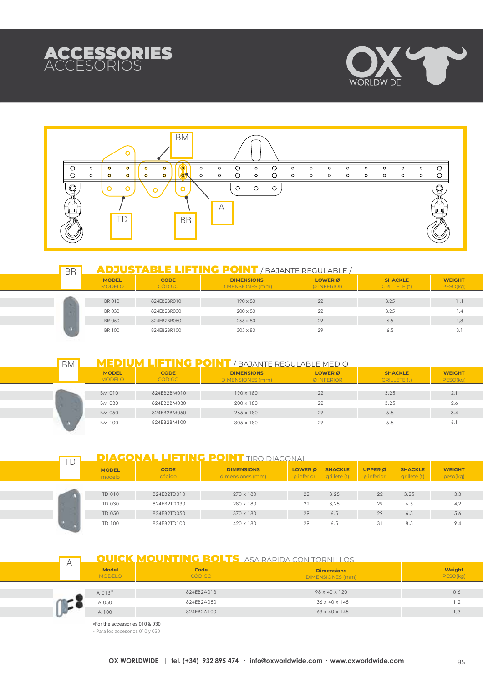





| <b>BR</b> | <b>ADJUSTABLE LIFTING POINT</b> / BAJANTE REGULABLE / |                              |                                              |                                         |                                       |                           |  |  |  |
|-----------|-------------------------------------------------------|------------------------------|----------------------------------------------|-----------------------------------------|---------------------------------------|---------------------------|--|--|--|
|           | <b>MODEL</b><br><b>MODELO</b>                         | <b>CODE</b><br><b>CÓDIGO</b> | <b>DIMENSIONS</b><br><b>DIMENSIONES (mm)</b> | <b>LOWER</b> <sub>Ø</sub><br>Ø INFERIOR | <b>SHACKLE</b><br><b>GRILLETE (t)</b> | <b>WEIGHT</b><br>PESO(kg) |  |  |  |
|           | <b>BR010</b>                                          | 824EB2BR010                  | $190 \times 80$                              | 22                                      | 3.25                                  |                           |  |  |  |
|           | <b>BR 030</b>                                         | 824EB2BR030                  | $200 \times 80$                              | 22                                      | 3.25                                  | .4                        |  |  |  |
|           | <b>BR 050</b>                                         | 824EB2BR050                  | $265 \times 80$                              | 29                                      | 6.5                                   | 1,8                       |  |  |  |
|           | BR 100                                                | 824EB2BR100                  | $305 \times 80$                              | 29                                      | 6.5                                   | 3.1                       |  |  |  |

BM<sup>1</sup>

#### **MEDIUM LIFTING POINT** / BAJANTE REGULABLE MEDIO

| <b>MODEL</b><br><b>MODELO</b> | <b>CODE</b><br><b>CÓDIGO</b> | <b>DIMENSIONS</b><br><b>DIMENSIONES (mm)</b> | <b>LOWER</b> Ø<br>Ø INFERIOR | <b>SHACKLE</b><br><b>GRILLETE (t)</b> | <b>WEIGHT</b><br>PESO(kg) |
|-------------------------------|------------------------------|----------------------------------------------|------------------------------|---------------------------------------|---------------------------|
| <b>BM 010</b>                 | 824EB2BM010                  | 190 x 180                                    | 22                           | 3,25                                  | 2,1                       |
| <b>BM 030</b>                 | 824EB2BM030                  | 200 x 180                                    | 22                           | 3.25                                  | 2,6                       |
| <b>BM 050</b>                 | 824EB2BM050                  | 265 x 180                                    | 29                           | 6,5                                   | 3,4                       |
| <b>BM 100</b>                 | 824EB2BM100                  | 305 x 180                                    | 29                           | 6.5                                   | 6,1                       |

| ΤŊ | <b>DIAGONAL LIFTING POINT TIRO DIAGONAL</b> |                       |                                       |                                                   |                                |                                        |                                |                           |
|----|---------------------------------------------|-----------------------|---------------------------------------|---------------------------------------------------|--------------------------------|----------------------------------------|--------------------------------|---------------------------|
|    | <b>MODEL</b><br>modelo                      | <b>CODE</b><br>código | <b>DIMENSIONS</b><br>dimensiones (mm) | <b>LOWER</b> <sub>Ø</sub><br>$\emptyset$ inferior | <b>SHACKLE</b><br>qrillete (t) | <b>UPPER</b> Ø<br>$\emptyset$ inferior | <b>SHACKLE</b><br>grillete (t) | <b>WEIGHT</b><br>peso(kg) |
|    |                                             |                       |                                       |                                                   |                                |                                        |                                |                           |
| w  | TD 010                                      | 824EB2TD010           | $270 \times 180$                      | 22                                                | 3.25                           | 22                                     | 3.25                           | 3,3                       |
|    | TD 030                                      | 824EB2TD030           | 280 x 180                             | 22                                                | 3.25                           | 29                                     | 6.5                            | 4.2                       |
|    | TD 050                                      | 824EB2TD050           | $370 \times 180$                      | 29                                                | 6.5                            | 29                                     | 6.5                            | 5,6                       |
|    | TD 100                                      | 824FB2TD100           | 420 x 180                             | 29                                                | 6.5                            | 31                                     | 8.5                            | 9,4                       |

|  |                               | <b>OUICK MOUNTING BOLTS</b> ASA RÁPIDA CON TORNILLOS |                                              |                           |  |  |  |
|--|-------------------------------|------------------------------------------------------|----------------------------------------------|---------------------------|--|--|--|
|  | <b>Model</b><br><b>MODELO</b> | Code<br><b>CÓDIGO</b>                                | <b>Dimensions</b><br><b>DIMENSIONES (mm)</b> | <b>Weight</b><br>PESO(kg) |  |  |  |
|  |                               |                                                      |                                              |                           |  |  |  |
|  | $A$ 013 <sup>*</sup>          | 824EB2A013                                           | 98 x 40 x 120                                | 0,6                       |  |  |  |
|  | A 050                         | 824EB2A050                                           | $136 \times 40 \times 145$                   | $\cdot$                   |  |  |  |
|  | A 100                         | 824EB2A100                                           | $163 \times 40 \times 145$                   | 1.3                       |  |  |  |
|  |                               |                                                      |                                              |                           |  |  |  |

\*For the accessories 010 & 030

\* Para los accesorios 010 y 030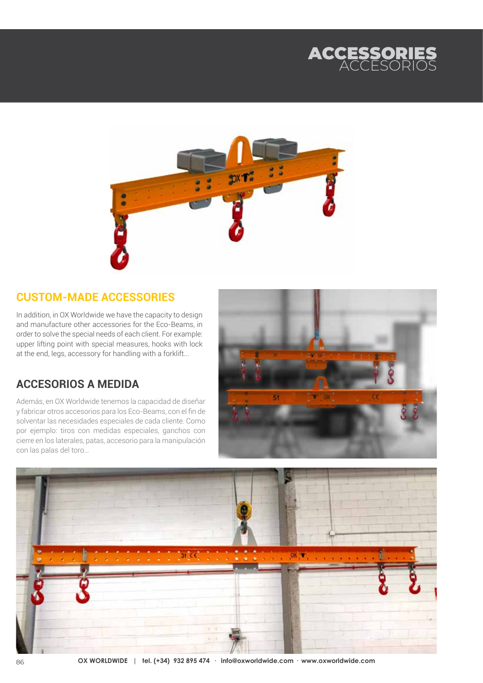



## **CUSTOM-MADE ACCESSORIES**

In addition, in OX Worldwide we have the capacity to design and manufacture other accessories for the Eco-Beams, in order to solve the special needs of each client. For example: upper lifting point with special measures, hooks with lock at the end, legs, accessory for handling with a forklift...

## **ACCESORIOS A MEDIDA**

Además, en OX Worldwide tenemos la capacidad de diseñar y fabricar otros accesorios para los Eco-Beams, con el fin de solventar las necesidades especiales de cada cliente. Como por ejemplo: tiros con medidas especiales, ganchos con cierre en los laterales, patas, accesorio para la manipulación con las palas del toro…